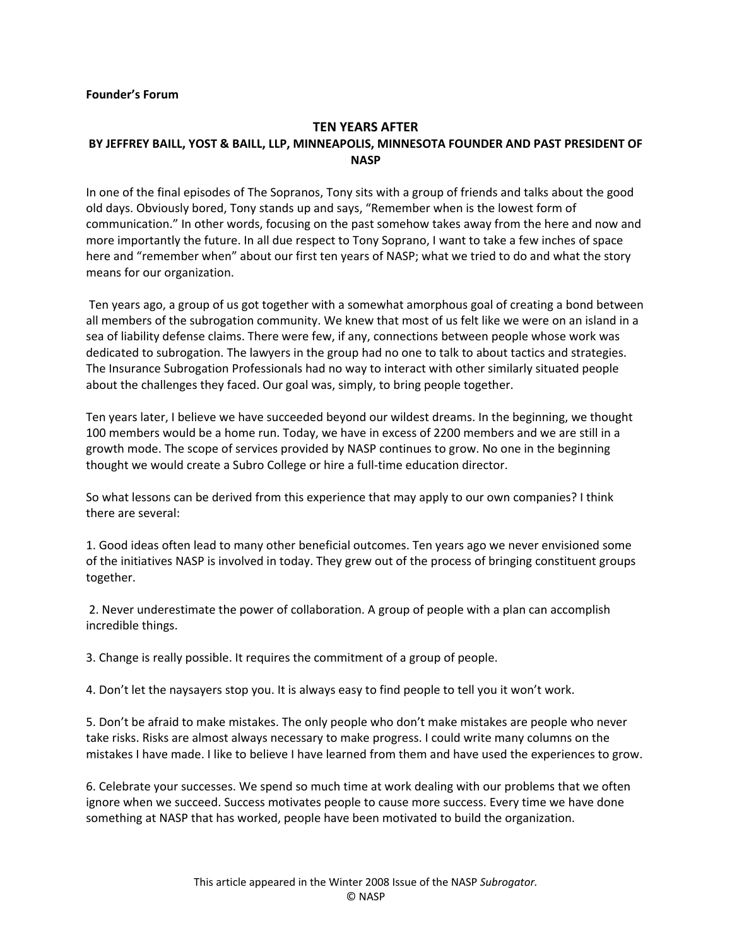## **TEN YEARS AFTER**

## **BY JEFFREY BAILL, YOST & BAILL, LLP, MINNEAPOLIS, MINNESOTA FOUNDER AND PAST PRESIDENT OF NASP**

In one of the final episodes of The Sopranos, Tony sits with a group of friends and talks about the good old days. Obviously bored, Tony stands up and says, "Remember when is the lowest form of communication." In other words, focusing on the past somehow takes away from the here and now and more importantly the future. In all due respect to Tony Soprano, I want to take a few inches of space here and "remember when" about our first ten years of NASP; what we tried to do and what the story means for our organization.

Ten years ago, a group of us got together with a somewhat amorphous goal of creating a bond between all members of the subrogation community. We knew that most of us felt like we were on an island in a sea of liability defense claims. There were few, if any, connections between people whose work was dedicated to subrogation. The lawyers in the group had no one to talk to about tactics and strategies. The Insurance Subrogation Professionals had no way to interact with other similarly situated people about the challenges they faced. Our goal was, simply, to bring people together.

Ten years later, I believe we have succeeded beyond our wildest dreams. In the beginning, we thought 100 members would be a home run. Today, we have in excess of 2200 members and we are still in a growth mode. The scope of services provided by NASP continues to grow. No one in the beginning thought we would create a Subro College or hire a full-time education director.

So what lessons can be derived from this experience that may apply to our own companies? I think there are several:

1. Good ideas often lead to many other beneficial outcomes. Ten years ago we never envisioned some of the initiatives NASP is involved in today. They grew out of the process of bringing constituent groups together.

2. Never underestimate the power of collaboration. A group of people with a plan can accomplish incredible things.

3. Change is really possible. It requires the commitment of a group of people.

4. Don't let the naysayers stop you. It is always easy to find people to tell you it won't work.

5. Don't be afraid to make mistakes. The only people who don't make mistakes are people who never take risks. Risks are almost always necessary to make progress. I could write many columns on the mistakes I have made. I like to believe I have learned from them and have used the experiences to grow.

6. Celebrate your successes. We spend so much time at work dealing with our problems that we often ignore when we succeed. Success motivates people to cause more success. Every time we have done something at NASP that has worked, people have been motivated to build the organization.